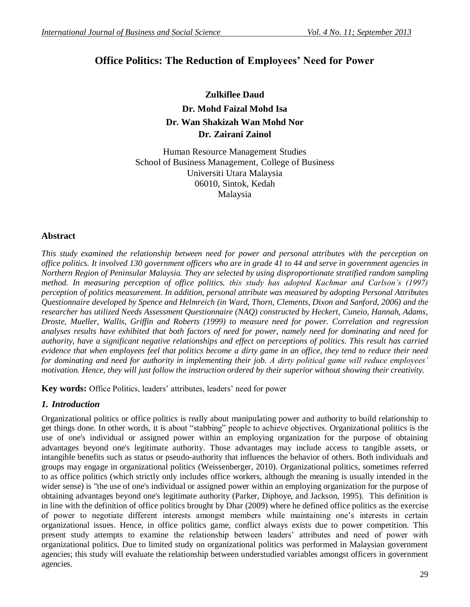# **Office Politics: The Reduction of Employees' Need for Power**

**Zulkiflee Daud Dr. Mohd Faizal Mohd Isa Dr. Wan Shakizah Wan Mohd Nor Dr. Zairani Zainol**

Human Resource Management Studies School of Business Management, College of Business Universiti Utara Malaysia 06010, Sintok, Kedah Malaysia

# **Abstract**

*This study examined the relationship between need for power and personal attributes with the perception on office politics. It involved 130 government officers who are in grade 41 to 44 and serve in government agencies in Northern Region of Peninsular Malaysia. They are selected by using disproportionate stratified random sampling method. In measuring perception of office politics, this study has adopted Kachmar and Carlson's (1997) perception of politics measurement. In addition, personal attribute was measured by adopting Personal Attributes Questionnaire developed by Spence and Helmreich (in Ward, Thorn, Clements, Dixon and Sanford, 2006) and the researcher has utilized Needs Assessment Questionnaire (NAQ) constructed by Heckert, Cuneio, Hannah, Adams, Droste, Mueller, Wallis, Griffin and Roberts (1999) to measure need for power. Correlation and regression analyses results have exhibited that both factors of need for power, namely need for dominating and need for authority, have a significant negative relationships and effect on perceptions of politics. This result has carried evidence that when employees feel that politics become a dirty game in an office, they tend to reduce their need for dominating and need for authority in implementing their job. A dirty political game will reduce employees' motivation. Hence, they will just follow the instruction ordered by their superior without showing their creativity.*

**Key words:** Office Politics, leaders' attributes, leaders' need for power

# *1. Introduction*

Organizational politics or office politics is really about manipulating power and authority to build relationship to get things done. In other words, it is about "stabbing" people to achieve objectives. Organizational politics is the use of one's individual or assigned power within an employing organization for the purpose of obtaining advantages beyond one's legitimate authority. Those advantages may include access to tangible assets, or intangible benefits such as status or pseudo-authority that influences the behavior of others. Both individuals and groups may engage in organizational politics [\(Weissenberger,](http://www.businessweek.com/bios/Beth_Weissenberger.htm) 2010). Organizational politics, sometimes referred to as [office](http://en.wikipedia.org/wiki/Office) [politics](http://en.wikipedia.org/wiki/Politics) (which strictly only includes office workers, although the meaning is usually intended in the wider sense) is "the use of one's individual or assigned [power](http://en.wikipedia.org/wiki/Political_power) within an employing organization for the purpose of obtaining advantages beyond one's legitimate authority (Parker, Dipboye, and Jackson, 1995). This definition is in line with the definition of office politics brought by Dhar (2009) where he defined office politics as the exercise of power to negotiate different interests amongst members while maintaining one's interests in certain organizational issues. Hence, in office politics game, conflict always exists due to power competition. This present study attempts to examine the relationship between leaders' attributes and need of power with organizational politics. Due to limited study on organizational politics was performed in Malaysian government agencies; this study will evaluate the relationship between understudied variables amongst officers in government agencies.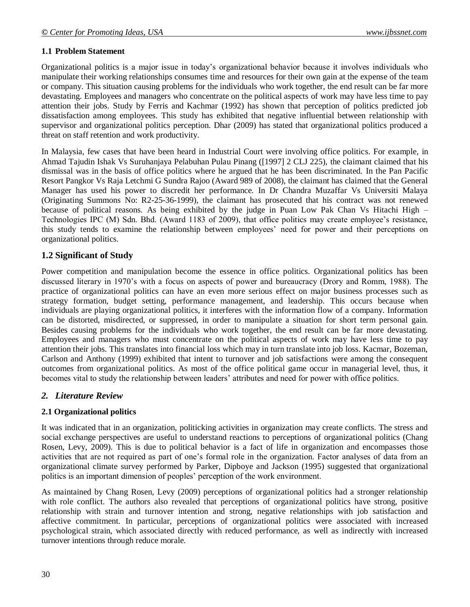# **1.1 Problem Statement**

Organizational politics is a major issue in today's organizational behavior because it involves individuals who manipulate their working relationships consumes time and resources for their own gain at the expense of the team or company. This situation causing problems for the individuals who work together, the end result can be far more devastating. Employees and managers who concentrate on the political aspects of work may have less time to pay attention their jobs. Study by Ferris and Kachmar (1992) has shown that perception of politics predicted job dissatisfaction among employees. This study has exhibited that negative influential between relationship with supervisor and organizational politics perception. Dhar (2009) has stated that organizational politics produced a threat on staff retention and work productivity.

In Malaysia, few cases that have been heard in Industrial Court were involving office politics. For example, in Ahmad Tajudin Ishak Vs Suruhanjaya Pelabuhan Pulau Pinang ([1997] 2 CLJ 225), the claimant claimed that his dismissal was in the basis of office politics where he argued that he has been discriminated. In the Pan Pacific Resort Pangkor Vs Raja Letchmi G Sundra Rajoo (Award 989 of 2008), the claimant has claimed that the General Manager has used his power to discredit her performance. In Dr Chandra Muzaffar Vs Universiti Malaya (Originating Summons No: R2-25-36-1999), the claimant has prosecuted that his contract was not renewed because of political reasons. As being exhibited by the judge in Puan Low Pak Chan Vs Hitachi High – Technologies IPC (M) Sdn. Bhd. (Award 1183 of 2009), that office politics may create employee's resistance, this study tends to examine the relationship between employees' need for power and their perceptions on organizational politics.

# **1.2 Significant of Study**

Power competition and manipulation become the essence in office politics. Organizational politics has been discussed literary in 1970's with a focus on aspects of power and bureaucracy (Drory and Romm, 1988). The practice of organizational politics can have an even more serious effect on major business processes such as strategy formation, budget setting, performance management, and leadership. This occurs because when individuals are playing organizational politics, it interferes with the information flow of a company. Information can be distorted, misdirected, or suppressed, in order to manipulate a situation for short term personal gain. Besides causing problems for the individuals who work together, the end result can be far more devastating. Employees and managers who must concentrate on the political aspects of work may have less time to pay attention their jobs. This translates into financial loss which may in turn translate into job loss. Kacmar, Bozeman, Carlson and Anthony (1999) exhibited that intent to turnover and job satisfactions were among the consequent outcomes from organizational politics. As most of the office political game occur in managerial level, thus, it becomes vital to study the relationship between leaders' attributes and need for power with office politics.

## *2. Literature Review*

## **2.1 Organizational politics**

It was indicated that in an organization, politicking activities in organization may create conflicts. The stress and social exchange perspectives are useful to understand reactions to perceptions of organizational politics (Chang Rosen, Levy, 2009). This is due to political behavior is a fact of life in organization and encompasses those activities that are not required as part of one's formal role in the organization. Factor analyses of data from an organizational climate survey performed by Parker, Dipboye and Jackson (1995) suggested that organizational politics is an important dimension of peoples' perception of the work environment.

As maintained by Chang Rosen, Levy (2009) perceptions of organizational politics had a stronger relationship with role conflict. The authors also revealed that perceptions of organizational politics have strong, positive relationship with strain and turnover intention and strong, negative relationships with job satisfaction and affective commitment. In particular, perceptions of organizational politics were associated with increased psychological strain, which associated directly with reduced performance, as well as indirectly with increased turnover intentions through reduce morale.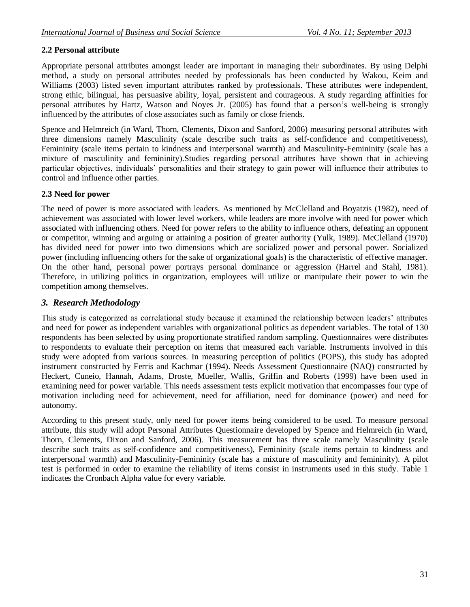## **2.2 Personal attribute**

Appropriate personal attributes amongst leader are important in managing their subordinates. By using Delphi method, a study on personal attributes needed by professionals has been conducted by Wakou, Keim and Williams (2003) listed seven important attributes ranked by professionals. These attributes were independent, strong ethic, bilingual, has persuasive ability, loyal, persistent and courageous. A study regarding affinities for personal attributes by Hartz, Watson and Noyes Jr. (2005) has found that a person's well-being is strongly influenced by the attributes of close associates such as family or close friends.

Spence and Helmreich (in Ward, Thorn, Clements, Dixon and Sanford, 2006) measuring personal attributes with three dimensions namely Masculinity (scale describe such traits as self-confidence and competitiveness), Femininity (scale items pertain to kindness and interpersonal warmth) and Masculinity-Femininity (scale has a mixture of masculinity and femininity).Studies regarding personal attributes have shown that in achieving particular objectives, individuals' personalities and their strategy to gain power will influence their attributes to control and influence other parties.

## **2.3 Need for power**

The need of power is more associated with leaders. As mentioned by McClelland and Boyatzis (1982), need of achievement was associated with lower level workers, while leaders are more involve with need for power which associated with influencing others. Need for power refers to the ability to influence others, defeating an opponent or competitor, winning and arguing or attaining a position of greater authority (Yulk, 1989). McClelland (1970) has divided need for power into two dimensions which are socialized power and personal power. Socialized power (including influencing others for the sake of organizational goals) is the characteristic of effective manager. On the other hand, personal power portrays personal dominance or aggression (Harrel and Stahl, 1981). Therefore, in utilizing politics in organization, employees will utilize or manipulate their power to win the competition among themselves.

## *3. Research Methodology*

This study is categorized as correlational study because it examined the relationship between leaders' attributes and need for power as independent variables with organizational politics as dependent variables. The total of 130 respondents has been selected by using proportionate stratified random sampling. Questionnaires were distributes to respondents to evaluate their perception on items that measured each variable. Instruments involved in this study were adopted from various sources. In measuring perception of politics (POPS), this study has adopted instrument constructed by Ferris and Kachmar (1994). Needs Assessment Questionnaire (NAQ) constructed by Heckert, Cuneio, Hannah, Adams, Droste, Mueller, Wallis, Griffin and Roberts (1999) have been used in examining need for power variable. This needs assessment tests explicit motivation that encompasses four type of motivation including need for achievement, need for affiliation, need for dominance (power) and need for autonomy.

According to this present study, only need for power items being considered to be used. To measure personal attribute, this study will adopt Personal Attributes Questionnaire developed by Spence and Helmreich (in Ward, Thorn, Clements, Dixon and Sanford, 2006). This measurement has three scale namely Masculinity (scale describe such traits as self-confidence and competitiveness), Femininity (scale items pertain to kindness and interpersonal warmth) and Masculinity-Femininity (scale has a mixture of masculinity and femininity). A pilot test is performed in order to examine the reliability of items consist in instruments used in this study. Table 1 indicates the Cronbach Alpha value for every variable.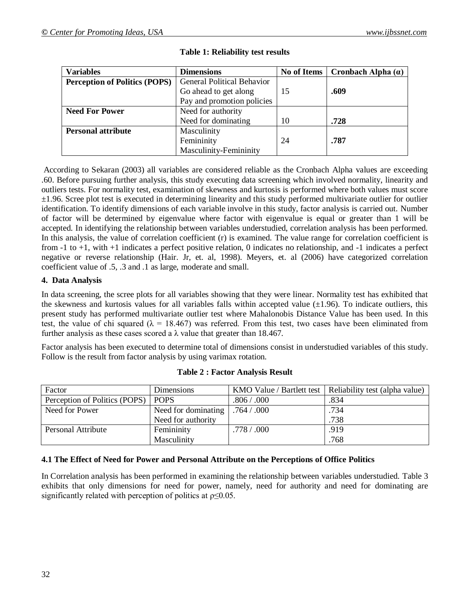| <b>Variables</b>                     | <b>Dimensions</b>                   | <b>No of Items</b> | Cronbach Alpha $(\alpha)$ |  |
|--------------------------------------|-------------------------------------|--------------------|---------------------------|--|
| <b>Perception of Politics (POPS)</b> | <b>General Political Behavior</b>   |                    |                           |  |
|                                      | Go ahead to get along<br>15<br>.609 |                    |                           |  |
|                                      | Pay and promotion policies          |                    |                           |  |
| <b>Need For Power</b>                | Need for authority                  |                    |                           |  |
|                                      | Need for dominating                 | 10                 | .728                      |  |
| <b>Personal attribute</b>            | Masculinity                         |                    |                           |  |
|                                      | Femininity                          | 24                 | .787                      |  |
|                                      | Masculinity-Femininity              |                    |                           |  |

## **Table 1: Reliability test results**

According to Sekaran (2003) all variables are considered reliable as the Cronbach Alpha values are exceeding .60. Before pursuing further analysis, this study executing data screening which involved normality, linearity and outliers tests. For normality test, examination of skewness and kurtosis is performed where both values must score ±1.96. Scree plot test is executed in determining linearity and this study performed multivariate outlier for outlier identification. To identify dimensions of each variable involve in this study, factor analysis is carried out. Number of factor will be determined by eigenvalue where factor with eigenvalue is equal or greater than 1 will be accepted. In identifying the relationship between variables understudied, correlation analysis has been performed. In this analysis, the value of correlation coefficient (r) is examined. The value range for correlation coefficient is from -1 to +1, with +1 indicates a perfect positive relation, 0 indicates no relationship, and -1 indicates a perfect negative or reverse relationship (Hair. Jr, et. al, 1998). Meyers, et. al (2006) have categorized correlation coefficient value of .5, .3 and .1 as large, moderate and small.

## **4. Data Analysis**

In data screening, the scree plots for all variables showing that they were linear. Normality test has exhibited that the skewness and kurtosis values for all variables falls within accepted value  $(\pm 1.96)$ . To indicate outliers, this present study has performed multivariate outlier test where Mahalonobis Distance Value has been used. In this test, the value of chi squared ( $\lambda = 18.467$ ) was referred. From this test, two cases have been eliminated from further analysis as these cases scored a  $\lambda$  value that greater than 18.467.

Factor analysis has been executed to determine total of dimensions consist in understudied variables of this study. Follow is the result from factor analysis by using varimax rotation.

| Factor                        | Dimensions          |             | KMO Value / Bartlett test   Reliability test (alpha value) |
|-------------------------------|---------------------|-------------|------------------------------------------------------------|
| Perception of Politics (POPS) | <b>POPS</b>         | .806 / .000 | .834                                                       |
| Need for Power                | Need for dominating | .764 / .000 | .734                                                       |
|                               | Need for authority  |             | .738                                                       |
| Personal Attribute            | Femininity          | .778 / .000 | .919                                                       |
|                               | Masculinity         |             | .768                                                       |

#### **Table 2 : Factor Analysis Result**

#### **4.1 The Effect of Need for Power and Personal Attribute on the Perceptions of Office Politics**

In Correlation analysis has been performed in examining the relationship between variables understudied. Table 3 exhibits that only dimensions for need for power, namely, need for authority and need for dominating are significantly related with perception of politics at  $\rho \leq 0.05$ .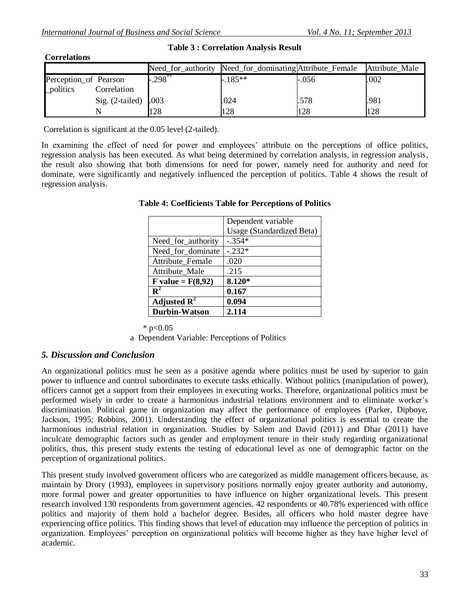| <b>Correlations</b> |  |
|---------------------|--|
|                     |  |

### **Table 3 : Correlation Analysis Result**

|                           |            | Need_for_authority [Need_for_dominating Attribute_Female   Attribute Male |       |      |
|---------------------------|------------|---------------------------------------------------------------------------|-------|------|
| Perception of Pearson     | $-.298$ ** | $-185**$                                                                  | -.056 | .002 |
| _politics<br>Correlation  |            |                                                                           |       |      |
| Sig. $(2$ -tailed) $.003$ |            | .024                                                                      | .578  | .981 |
|                           | 128        | 128                                                                       | 128   | 128  |

Correlation is significant at the 0.05 level (2-tailed).

In examining the effect of need for power and employees' attribute on the perceptions of office politics, regression analysis has been executed. As what being determined by correlation analysis, in regression analysis, the result also showing that both dimensions for need for power, namely need for authority and need for dominate, were significantly and negatively influenced the perception of politics. Table 4 shows the result of regression analysis.

|                         | Dependent variable               |
|-------------------------|----------------------------------|
|                         | <b>Usage (Standardized Beta)</b> |
| Need_for_authority      | $-.354*$                         |
| Need_for_dominate       | $-.232*$                         |
| Attribute Female        | .020                             |
| Attribute_Male          | .215                             |
| F value = $F(8,92)$     | 8.120*                           |
| $\mathbf{R}^2$          | 0.167                            |
| Adjusted $\mathbf{R}^2$ | 0.094                            |
| <b>Durbin-Watson</b>    | 2.114                            |

#### **Table 4: Coefficients Table for Perceptions of Politics**

 $*$  p<0.05 a Dependent Variable: Perceptions of Politics

# *5. Discussion and Conclusion*

An organizational politics must be seen as a positive agenda where politics must be used by superior to gain power to influence and control subordinates to execute tasks ethically. Without politics (manipulation of power), officers cannot get a support from their employees in executing works. Therefore, organizational politics must be performed wisely in order to create a harmonious industrial relations environment and to eliminate worker's discrimination. Political game in organization may affect the performance of employees (Parker, Dipboye, Jackson, 1995; Robbins, 2001). Understanding the effect of organizational politics is essential to create the harmonious industrial relation in organization. Studies by Salem and David (2011) and Dhar (2011) have inculcate demographic factors such as gender and employment tenure in their study regarding organizational politics, thus, this present study extents the testing of educational level as one of demographic factor on the perception of organizational politics.

This present study involved government officers who are categorized as middle management officers because, as maintain by Drory (1993), employees in supervisory positions normally enjoy greater authority and autonomy, more formal power and greater opportunities to have influence on higher organizational levels. This present research involved 130 respondents from government agencies. 42 respondents or 40.78% experienced with office politics and majority of them hold a bachelor degree. Besides, all officers who hold master degree have experiencing office politics. This finding shows that level of education may influence the perception of politics in organization. Employees' perception on organizational politics will become higher as they have higher level of academic.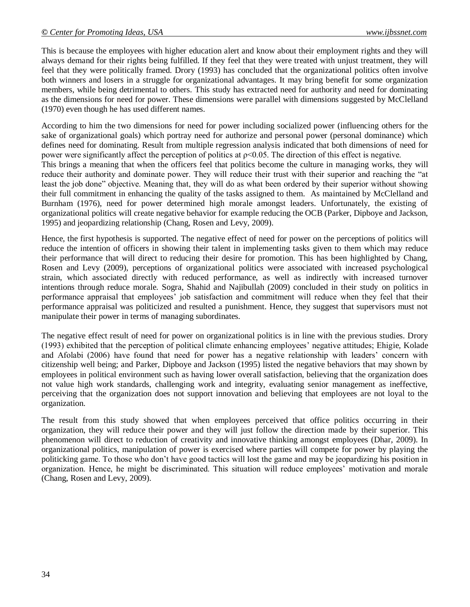This is because the employees with higher education alert and know about their employment rights and they will always demand for their rights being fulfilled. If they feel that they were treated with unjust treatment, they will feel that they were politically framed. Drory (1993) has concluded that the organizational politics often involve both winners and losers in a struggle for organizational advantages. It may bring benefit for some organization members, while being detrimental to others. This study has extracted need for authority and need for dominating as the dimensions for need for power. These dimensions were parallel with dimensions suggested by McClelland (1970) even though he has used different names.

According to him the two dimensions for need for power including socialized power (influencing others for the sake of organizational goals) which portray need for authorize and personal power (personal dominance) which defines need for dominating. Result from multiple regression analysis indicated that both dimensions of need for power were significantly affect the perception of politics at  $\rho \le 0.05$ . The direction of this effect is negative. This brings a meaning that when the officers feel that politics become the culture in managing works, they will reduce their authority and dominate power. They will reduce their trust with their superior and reaching the "at least the job done" objective. Meaning that, they will do as what been ordered by their superior without showing their full commitment in enhancing the quality of the tasks assigned to them. As maintained by McClelland and Burnham (1976), need for power determined high morale amongst leaders. Unfortunately, the existing of organizational politics will create negative behavior for example reducing the OCB (Parker, Dipboye and Jackson, 1995) and jeopardizing relationship (Chang, Rosen and Levy, 2009).

Hence, the first hypothesis is supported. The negative effect of need for power on the perceptions of politics will reduce the intention of officers in showing their talent in implementing tasks given to them which may reduce their performance that will direct to reducing their desire for promotion. This has been highlighted by Chang, Rosen and Levy (2009), perceptions of organizational politics were associated with increased psychological strain, which associated directly with reduced performance, as well as indirectly with increased turnover intentions through reduce morale. Sogra, Shahid and Najibullah (2009) concluded in their study on politics in performance appraisal that employees' job satisfaction and commitment will reduce when they feel that their performance appraisal was politicized and resulted a punishment. Hence, they suggest that supervisors must not manipulate their power in terms of managing subordinates.

The negative effect result of need for power on organizational politics is in line with the previous studies. Drory (1993) exhibited that the perception of political climate enhancing employees' negative attitudes; Ehigie, Kolade and Afolabi (2006) have found that need for power has a negative relationship with leaders' concern with citizenship well being; and Parker, Dipboye and Jackson (1995) listed the negative behaviors that may shown by employees in political environment such as having lower overall satisfaction, believing that the organization does not value high work standards, challenging work and integrity, evaluating senior management as ineffective, perceiving that the organization does not support innovation and believing that employees are not loyal to the organization.

The result from this study showed that when employees perceived that office politics occurring in their organization, they will reduce their power and they will just follow the direction made by their superior. This phenomenon will direct to reduction of creativity and innovative thinking amongst employees (Dhar, 2009). In organizational politics, manipulation of power is exercised where parties will compete for power by playing the politicking game. To those who don't have good tactics will lost the game and may be jeopardizing his position in organization. Hence, he might be discriminated. This situation will reduce employees' motivation and morale (Chang, Rosen and Levy, 2009).